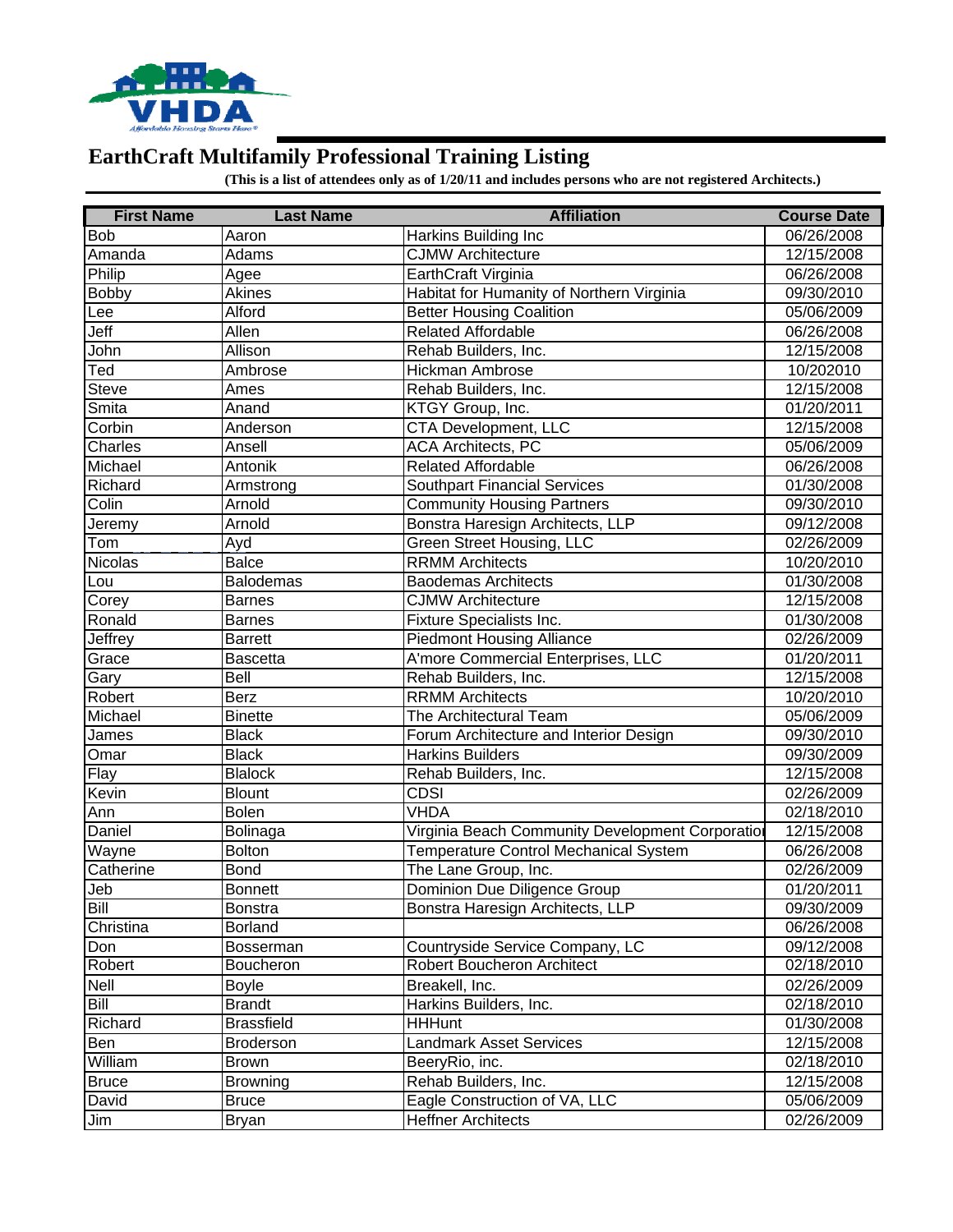

## **EarthCraft Multifamily Professional Training Listing**

**(This is a list of attendees only as of 1/20/11 and includes persons who are not registered Architects.)**

| <b>First Name</b> | <b>Last Name</b>  | <b>Affiliation</b>                               | <b>Course Date</b> |
|-------------------|-------------------|--------------------------------------------------|--------------------|
| <b>Bob</b>        | Aaron             | Harkins Building Inc                             | 06/26/2008         |
| Amanda            | Adams             | <b>CJMW Architecture</b>                         | 12/15/2008         |
| Philip            | Agee              | EarthCraft Virginia                              | 06/26/2008         |
| <b>Bobby</b>      | Akines            | Habitat for Humanity of Northern Virginia        | 09/30/2010         |
| Lee               | Alford            | <b>Better Housing Coalition</b>                  | 05/06/2009         |
| Jeff              | Allen             | <b>Related Affordable</b>                        | 06/26/2008         |
| John              | Allison           | Rehab Builders, Inc.                             | 12/15/2008         |
| Ted               | Ambrose           | Hickman Ambrose                                  | 10/202010          |
| <b>Steve</b>      | Ames              | Rehab Builders, Inc.                             | 12/15/2008         |
| Smita             | Anand             | KTGY Group, Inc.                                 | 01/20/2011         |
| Corbin            | Anderson          | CTA Development, LLC                             | 12/15/2008         |
| Charles           | Ansell            | <b>ACA Architects, PC</b>                        | 05/06/2009         |
| Michael           | Antonik           | <b>Related Affordable</b>                        | 06/26/2008         |
| Richard           | Armstrong         | <b>Southpart Financial Services</b>              | 01/30/2008         |
| Colin             | Arnold            | Community Housing Partners                       | 09/30/2010         |
| Jeremy            | Arnold            | Bonstra Haresign Architects, LLP                 | 09/12/2008         |
| Tom               | Ayd               | <b>Green Street Housing, LLC</b>                 | 02/26/2009         |
| Nicolas           | <b>Balce</b>      | <b>RRMM</b> Architects                           | 10/20/2010         |
| Lou               | <b>Balodemas</b>  | <b>Baodemas Architects</b>                       | 01/30/2008         |
| Corey             | <b>Barnes</b>     | <b>CJMW Architecture</b>                         | 12/15/2008         |
| Ronald            | <b>Barnes</b>     | <b>Fixture Specialists Inc.</b>                  | 01/30/2008         |
| Jeffrey           | <b>Barrett</b>    | <b>Piedmont Housing Alliance</b>                 | 02/26/2009         |
| Grace             | <b>Bascetta</b>   | A'more Commercial Enterprises, LLC               | 01/20/2011         |
| Gary              | Bell              | Rehab Builders, Inc.                             | 12/15/2008         |
| Robert            | <b>Berz</b>       | <b>RRMM</b> Architects                           | 10/20/2010         |
| Michael           | <b>Binette</b>    | The Architectural Team                           | 05/06/2009         |
| James             | <b>Black</b>      | Forum Architecture and Interior Design           | 09/30/2010         |
| Omar              | <b>Black</b>      | <b>Harkins Builders</b>                          | 09/30/2009         |
| Flay              | <b>Blalock</b>    | Rehab Builders, Inc.                             | 12/15/2008         |
| Kevin             | <b>Blount</b>     | <b>CDSI</b>                                      | 02/26/2009         |
| Ann               | <b>Bolen</b>      | <b>VHDA</b>                                      | 02/18/2010         |
| Daniel            | Bolinaga          | Virginia Beach Community Development Corporation | 12/15/2008         |
| Wayne             | Bolton            | Temperature Control Mechanical System            | 06/26/2008         |
| Catherine         | <b>Bond</b>       | The Lane Group, Inc.                             | 02/26/2009         |
| Jeb               | <b>Bonnett</b>    | Dominion Due Diligence Group                     | 01/20/2011         |
| Bill              | <b>Bonstra</b>    | Bonstra Haresign Architects, LLP                 | 09/30/2009         |
| Christina         | <b>Borland</b>    |                                                  | 06/26/2008         |
| Don               | <b>Bosserman</b>  | Countryside Service Company, LC                  | 09/12/2008         |
| Robert            | Boucheron         | Robert Boucheron Architect                       | 02/18/2010         |
| Nell              | <b>Boyle</b>      | Breakell, Inc.                                   | 02/26/2009         |
| Bill              | <b>Brandt</b>     | Harkins Builders, Inc.                           | 02/18/2010         |
| Richard           | <b>Brassfield</b> | <b>HHHunt</b>                                    | 01/30/2008         |
| Ben               | <b>Broderson</b>  | <b>Landmark Asset Services</b>                   | 12/15/2008         |
| William           | <b>Brown</b>      | BeeryRio, inc.                                   | 02/18/2010         |
| <b>Bruce</b>      | <b>Browning</b>   | Rehab Builders, Inc.                             | 12/15/2008         |
| David             | <b>Bruce</b>      | Eagle Construction of VA, LLC                    | 05/06/2009         |
| Jim               | <b>Bryan</b>      | <b>Heffner Architects</b>                        | 02/26/2009         |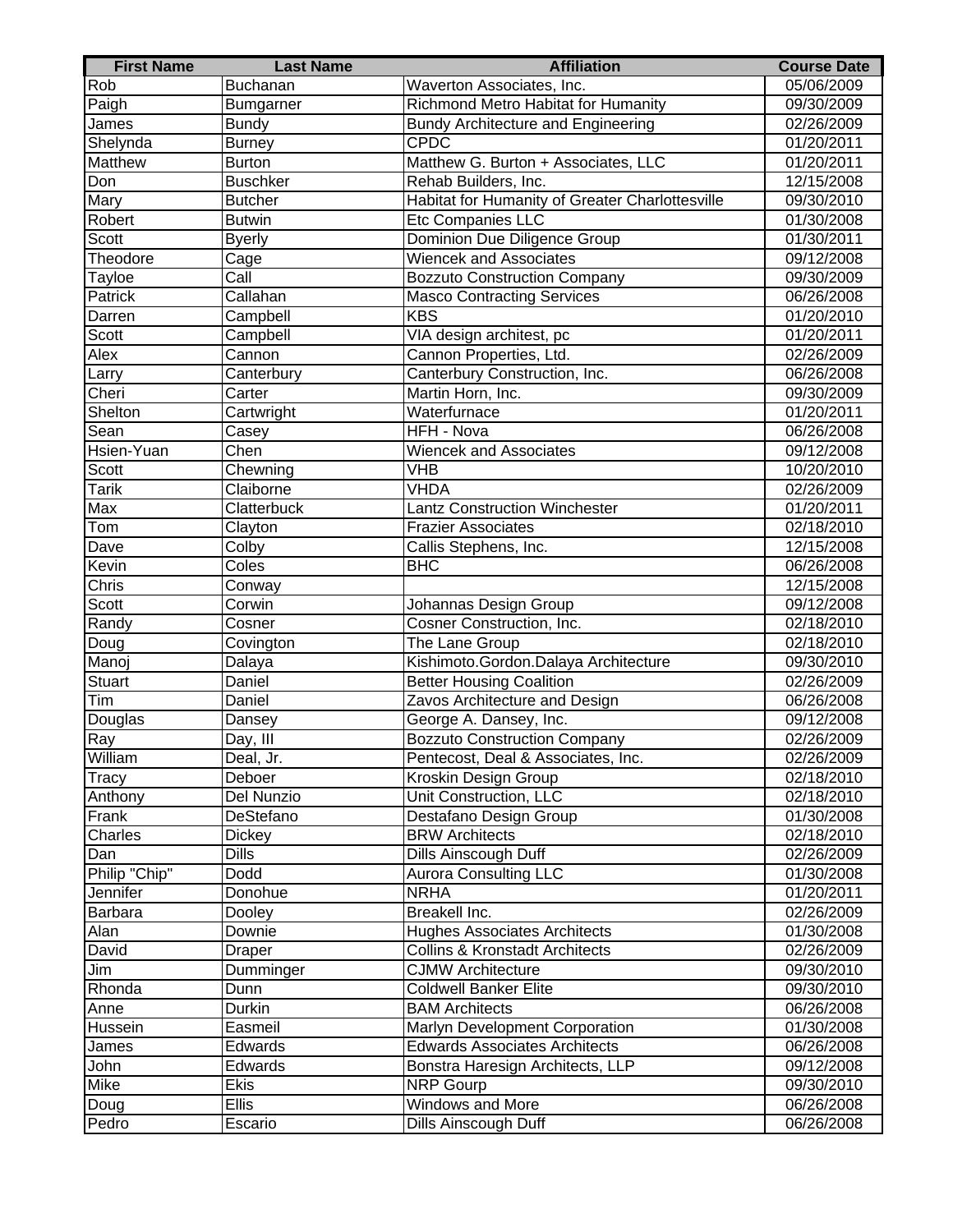| <b>First Name</b> | <b>Last Name</b>         | <b>Affiliation</b>                              | <b>Course Date</b> |
|-------------------|--------------------------|-------------------------------------------------|--------------------|
| Rob               | Buchanan                 | Waverton Associates, Inc.                       | 05/06/2009         |
| Paigh             | Bumgarner                | Richmond Metro Habitat for Humanity             | 09/30/2009         |
| James             | <b>Bundy</b>             | <b>Bundy Architecture and Engineering</b>       | 02/26/2009         |
| Shelynda          | <b>Burney</b>            | <b>CPDC</b>                                     | 01/20/2011         |
| <b>Matthew</b>    | <b>Burton</b>            | Matthew G. Burton + Associates, LLC             | 01/20/2011         |
| Don               | <b>Buschker</b>          | Rehab Builders, Inc.                            | 12/15/2008         |
| Mary              | <b>Butcher</b>           | Habitat for Humanity of Greater Charlottesville | 09/30/2010         |
| Robert            | <b>Butwin</b>            | Etc Companies LLC                               | 01/30/2008         |
| Scott             | <b>Byerly</b>            | Dominion Due Diligence Group                    | 01/30/2011         |
| Theodore          | Cage                     | <b>Wiencek and Associates</b>                   | 09/12/2008         |
| Tayloe            | $\overline{\text{Call}}$ | <b>Bozzuto Construction Company</b>             | 09/30/2009         |
| Patrick           | Callahan                 | <b>Masco Contracting Services</b>               | 06/26/2008         |
| Darren            | Campbell                 | <b>KBS</b>                                      | 01/20/2010         |
| Scott             | Campbell                 | VIA design architest, pc                        | 01/20/2011         |
| Alex              | Cannon                   | Cannon Properties, Ltd.                         | 02/26/2009         |
| Larry             | Canterbury               | Canterbury Construction, Inc.                   | 06/26/2008         |
| Cheri             | Carter                   | Martin Horn, Inc.                               | 09/30/2009         |
| Shelton           | Cartwright               | Waterfurnace                                    | 01/20/2011         |
| Sean              | Casey                    | HFH - Nova                                      | 06/26/2008         |
| Hsien-Yuan        | Chen                     | <b>Wiencek and Associates</b>                   | 09/12/2008         |
| Scott             | Chewning                 | <b>VHB</b>                                      | 10/20/2010         |
| <b>Tarik</b>      | Claiborne                | <b>VHDA</b>                                     | 02/26/2009         |
| Max               | Clatterbuck              | <b>Lantz Construction Winchester</b>            | 01/20/2011         |
| Tom               | Clayton                  | <b>Frazier Associates</b>                       | 02/18/2010         |
| Dave              | Colby                    | Callis Stephens, Inc.                           | 12/15/2008         |
| Kevin             | Coles                    | <b>BHC</b>                                      | 06/26/2008         |
| Chris             | Conway                   |                                                 | 12/15/2008         |
| Scott             | Corwin                   | Johannas Design Group                           | 09/12/2008         |
| Randy             | Cosner                   | Cosner Construction, Inc.                       | 02/18/2010         |
| Doug              | Covington                | The Lane Group                                  | 02/18/2010         |
| Manoj             | Dalaya                   | Kishimoto.Gordon.Dalaya Architecture            | 09/30/2010         |
| <b>Stuart</b>     | Daniel                   | <b>Better Housing Coalition</b>                 | 02/26/2009         |
| Tim               | Daniel                   | Zavos Architecture and Design                   | 06/26/2008         |
| Douglas           | Dansey                   | George A. Dansey, Inc.                          | 09/12/2008         |
| Ray               | Day, III                 | <b>Bozzuto Construction Company</b>             | 02/26/2009         |
| William           | Deal, Jr.                | Pentecost, Deal & Associates, Inc.              | 02/26/2009         |
| <b>Tracy</b>      | Deboer                   | Kroskin Design Group                            | 02/18/2010         |
| Anthony           | Del Nunzio               | Unit Construction, LLC                          | 02/18/2010         |
| Frank             | DeStefano                | Destafano Design Group                          | 01/30/2008         |
| Charles           | <b>Dickey</b>            | <b>BRW Architects</b>                           | 02/18/2010         |
| Dan               | <b>Dills</b>             | Dills Ainscough Duff                            | 02/26/2009         |
| Philip "Chip"     | Dodd                     | <b>Aurora Consulting LLC</b>                    | 01/30/2008         |
| Jennifer          | Donohue                  | <b>NRHA</b>                                     | 01/20/2011         |
| Barbara           | Dooley                   | Breakell Inc.                                   | 02/26/2009         |
| Alan              | Downie                   | <b>Hughes Associates Architects</b>             | 01/30/2008         |
| David             | Draper                   | <b>Collins &amp; Kronstadt Architects</b>       | 02/26/2009         |
| Jim               | Dumminger                | <b>CJMW Architecture</b>                        | 09/30/2010         |
| Rhonda            | Dunn                     | <b>Coldwell Banker Elite</b>                    | 09/30/2010         |
| Anne              | Durkin                   | <b>BAM Architects</b>                           | 06/26/2008         |
| Hussein           | Easmeil                  | Marlyn Development Corporation                  | 01/30/2008         |
| James             | Edwards                  | <b>Edwards Associates Architects</b>            | 06/26/2008         |
| John              | Edwards                  | Bonstra Haresign Architects, LLP                | 09/12/2008         |
| Mike              | <b>Ekis</b>              | <b>NRP</b> Gourp                                | 09/30/2010         |
| Doug              | <b>Ellis</b>             | <b>Windows and More</b>                         | 06/26/2008         |
| Pedro             | Escario                  | Dills Ainscough Duff                            | 06/26/2008         |
|                   |                          |                                                 |                    |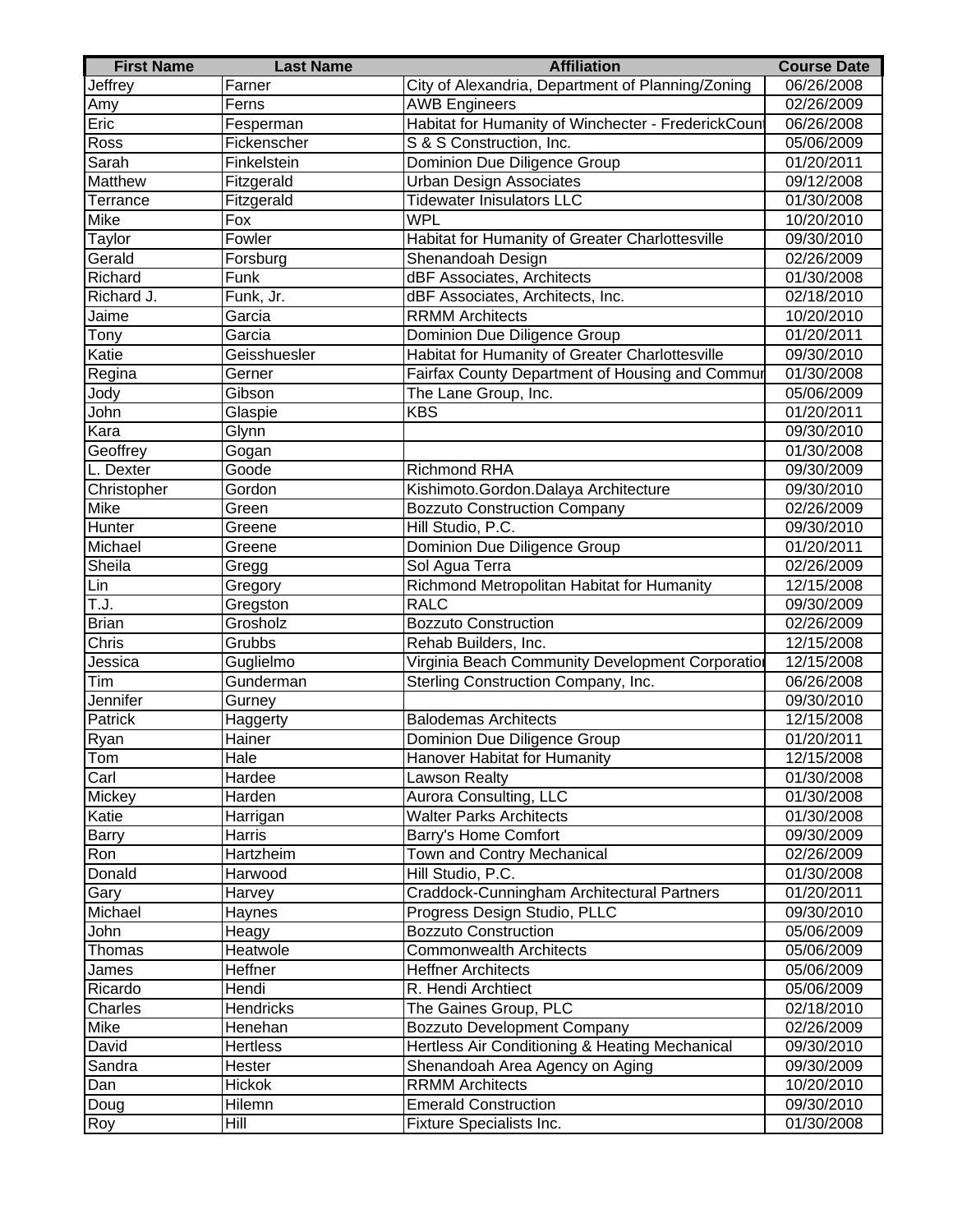| <b>First Name</b> | <b>Last Name</b>   | <b>Affiliation</b>                                  | <b>Course Date</b> |
|-------------------|--------------------|-----------------------------------------------------|--------------------|
| Jeffrey           | Farner             | City of Alexandria, Department of Planning/Zoning   | 06/26/2008         |
| Amy               | Ferns              | <b>AWB Engineers</b>                                | 02/26/2009         |
| Eric              | Fesperman          | Habitat for Humanity of Winchecter - FrederickCount | 06/26/2008         |
| Ross              | Fickenscher        | S & S Construction, Inc.                            | 05/06/2009         |
| Sarah             | Finkelstein        | Dominion Due Diligence Group                        | 01/20/2011         |
| <b>Matthew</b>    | Fitzgerald         | <b>Urban Design Associates</b>                      | 09/12/2008         |
| Terrance          | Fitzgerald         | <b>Tidewater Inisulators LLC</b>                    | 01/30/2008         |
| Mike              | Fox                | <b>WPL</b>                                          | 10/20/2010         |
| Taylor            | Fowler             | Habitat for Humanity of Greater Charlottesville     | 09/30/2010         |
| Gerald            | Forsburg           | Shenandoah Design                                   | 02/26/2009         |
| Richard           | $\overline{F}$ unk | dBF Associates, Architects                          | 01/30/2008         |
| Richard J.        | Funk, Jr.          | dBF Associates, Architects, Inc.                    | 02/18/2010         |
| Jaime             | Garcia             | <b>RRMM</b> Architects                              | 10/20/2010         |
| Tony              | Garcia             | Dominion Due Diligence Group                        | 01/20/2011         |
| Katie             | Geisshuesler       | Habitat for Humanity of Greater Charlottesville     | 09/30/2010         |
| Regina            | Gerner             | Fairfax County Department of Housing and Commur     | 01/30/2008         |
| Jody              | Gibson             | The Lane Group, Inc.                                | 05/06/2009         |
| John              | Glaspie            | <b>KBS</b>                                          | 01/20/2011         |
| Kara              | Glynn              |                                                     | 09/30/2010         |
| Geoffrey          | Gogan              |                                                     | 01/30/2008         |
| L. Dexter         | Goode              | <b>Richmond RHA</b>                                 | 09/30/2009         |
| Christopher       | Gordon             | Kishimoto.Gordon.Dalaya Architecture                | 09/30/2010         |
| Mike              | Green              | <b>Bozzuto Construction Company</b>                 | 02/26/2009         |
| Hunter            | Greene             | Hill Studio, P.C.                                   | 09/30/2010         |
| Michael           | Greene             | Dominion Due Diligence Group                        | 01/20/2011         |
| Sheila            | Gregg              | Sol Agua Terra                                      | 02/26/2009         |
| Lin               | Gregory            | Richmond Metropolitan Habitat for Humanity          | 12/15/2008         |
| T.J.              | Gregston           | <b>RALC</b>                                         | 09/30/2009         |
| <b>Brian</b>      | Grosholz           | <b>Bozzuto Construction</b>                         | 02/26/2009         |
| Chris             | Grubbs             | Rehab Builders, Inc.                                | 12/15/2008         |
| Jessica           | Guglielmo          | Virginia Beach Community Development Corporation    | 12/15/2008         |
| Tim               | Gunderman          | Sterling Construction Company, Inc.                 | 06/26/2008         |
| Jennifer          | Gurney             |                                                     | 09/30/2010         |
| Patrick           | Haggerty           | <b>Balodemas Architects</b>                         | 12/15/2008         |
| Ryan              | Hainer             | Dominion Due Diligence Group                        | 01/20/2011         |
| Tom               | Hale               | Hanover Habitat for Humanity                        | 12/15/2008         |
| Carl              | Hardee             | <b>Lawson Realty</b>                                | 01/30/2008         |
| Mickey            | Harden             | Aurora Consulting, LLC                              | 01/30/2008         |
| Katie             | Harrigan           | <b>Walter Parks Architects</b>                      | 01/30/2008         |
| Barry             | Harris             | Barry's Home Comfort                                | 09/30/2009         |
| Ron               | Hartzheim          | Town and Contry Mechanical                          | 02/26/2009         |
| Donald            | Harwood            | Hill Studio, P.C.                                   | 01/30/2008         |
| Gary              | Harvey             | Craddock-Cunningham Architectural Partners          | 01/20/2011         |
| Michael           | Haynes             | Progress Design Studio, PLLC                        | 09/30/2010         |
| John              | Heagy              | <b>Bozzuto Construction</b>                         | 05/06/2009         |
| Thomas            | Heatwole           | <b>Commonwealth Architects</b>                      | 05/06/2009         |
| James             | Heffner            | <b>Heffner Architects</b>                           | 05/06/2009         |
| Ricardo           | Hendi              | R. Hendi Archtiect                                  | 05/06/2009         |
| Charles           | <b>Hendricks</b>   | The Gaines Group, PLC                               | 02/18/2010         |
| Mike              | Henehan            | <b>Bozzuto Development Company</b>                  | 02/26/2009         |
| David             | <b>Hertless</b>    | Hertless Air Conditioning & Heating Mechanical      | 09/30/2010         |
| Sandra            | Hester             | Shenandoah Area Agency on Aging                     | 09/30/2009         |
| Dan               | <b>Hickok</b>      | <b>RRMM Architects</b>                              | 10/20/2010         |
| Doug              | Hilemn             | <b>Emerald Construction</b>                         | 09/30/2010         |
| Roy               | Hill               | <b>Fixture Specialists Inc.</b>                     | 01/30/2008         |
|                   |                    |                                                     |                    |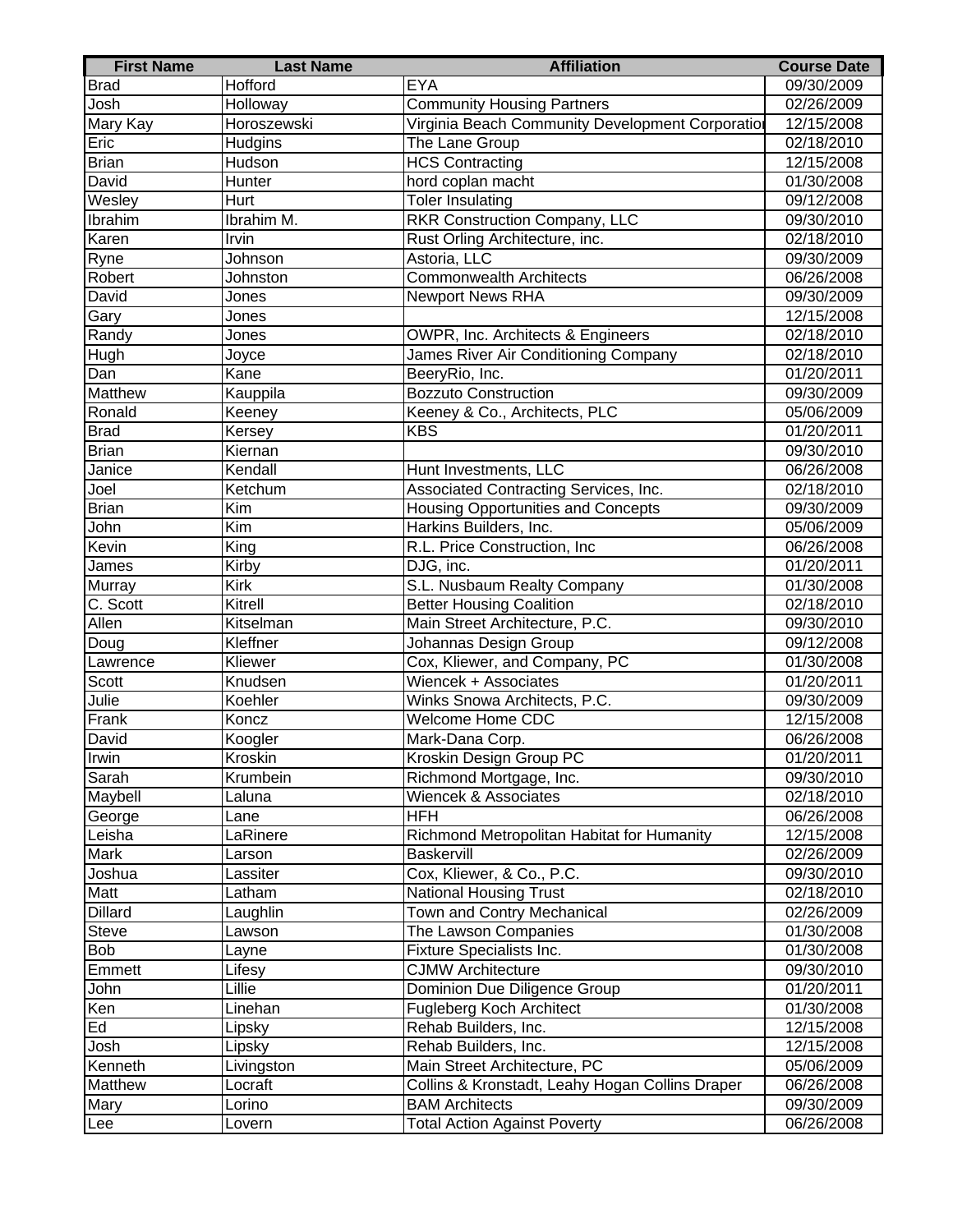| <b>First Name</b> | <b>Last Name</b> | <b>Affiliation</b>                               | <b>Course Date</b>      |
|-------------------|------------------|--------------------------------------------------|-------------------------|
| <b>Brad</b>       | Hofford          | <b>EYA</b>                                       | 09/30/2009              |
| Josh              | Holloway         | <b>Community Housing Partners</b>                | 02/26/2009              |
| <b>Mary Kay</b>   | Horoszewski      | Virginia Beach Community Development Corporation | 12/15/2008              |
| Eric              | Hudgins          | The Lane Group                                   | 02/18/2010              |
| <b>Brian</b>      | Hudson           | <b>HCS Contracting</b>                           | 12/15/2008              |
| David             | Hunter           | hord coplan macht                                | 01/30/2008              |
| Wesley            | Hurt             | <b>Toler Insulating</b>                          | 09/12/2008              |
| Ibrahim           | Ibrahim M.       | <b>RKR Construction Company, LLC</b>             | 09/30/2010              |
| Karen             | Irvin            | Rust Orling Architecture, inc.                   | $\overline{02/1}8/2010$ |
| Ryne              | Johnson          | Astoria, LLC                                     | 09/30/2009              |
| Robert            | Johnston         | <b>Commonwealth Architects</b>                   | 06/26/2008              |
| David             | Jones            | <b>Newport News RHA</b>                          | 09/30/2009              |
| Gary              | Jones            |                                                  | 12/15/2008              |
| Randy             | Jones            | OWPR, Inc. Architects & Engineers                | 02/18/2010              |
| Hugh              | Joyce            | James River Air Conditioning Company             | 02/18/2010              |
| Dan               | Kane             | BeeryRio, Inc.                                   | 01/20/2011              |
| Matthew           | Kauppila         | <b>Bozzuto Construction</b>                      | 09/30/2009              |
| Ronald            | Keeney           | Keeney & Co., Architects, PLC                    | 05/06/2009              |
| <b>Brad</b>       | Kersey           | <b>KBS</b>                                       | 01/20/2011              |
| <b>Brian</b>      | Kiernan          |                                                  | 09/30/2010              |
| Janice            | Kendall          | Hunt Investments, LLC                            | 06/26/2008              |
| Joel              | Ketchum          | Associated Contracting Services, Inc.            | 02/18/2010              |
| <b>Brian</b>      | Kim              | <b>Housing Opportunities and Concepts</b>        | 09/30/2009              |
| John              | $\overline{Kim}$ | Harkins Builders, Inc.                           | 05/06/2009              |
| Kevin             | King             | R.L. Price Construction, Inc                     | 06/26/2008              |
| James             | Kirby            | DJG, inc.                                        | 01/20/2011              |
| Murray            | Kirk             | S.L. Nusbaum Realty Company                      | 01/30/2008              |
| C. Scott          | Kitrell          | <b>Better Housing Coalition</b>                  | 02/18/2010              |
| Allen             | Kitselman        | Main Street Architecture, P.C.                   | 09/30/2010              |
| Doug              | Kleffner         | Johannas Design Group                            | 09/12/2008              |
| Lawrence          | Kliewer          | Cox, Kliewer, and Company, PC                    | 01/30/2008              |
| Scott             | Knudsen          | Wiencek + Associates                             | 01/20/2011              |
| Julie             | Koehler          | Winks Snowa Architects, P.C.                     | 09/30/2009              |
| Frank             | Koncz            | Welcome Home CDC                                 | 12/15/2008              |
| David             | Koogler          | Mark-Dana Corp.                                  | 06/26/2008              |
| Irwin             | Kroskin          | Kroskin Design Group PC                          | 01/20/2011              |
| Sarah             | Krumbein         | Richmond Mortgage, Inc.                          | 09/30/2010              |
| Maybell           | Laluna           | Wiencek & Associates                             | 02/18/2010              |
| George            | Lane             | <b>HFH</b>                                       | 06/26/2008              |
| Leisha            | LaRinere         | Richmond Metropolitan Habitat for Humanity       | 12/15/2008              |
| Mark              | Larson           | Baskervill                                       | 02/26/2009              |
| Joshua            | Lassiter         | Cox, Kliewer, & Co., P.C.                        | 09/30/2010              |
| Matt              | Latham           | <b>National Housing Trust</b>                    | 02/18/2010              |
| <b>Dillard</b>    | Laughlin         | Town and Contry Mechanical                       | 02/26/2009              |
| Steve             | Lawson           | The Lawson Companies                             | 01/30/2008              |
| <b>Bob</b>        | Layne            | <b>Fixture Specialists Inc.</b>                  | 01/30/2008              |
| Emmett            | Lifesy           | <b>CJMW Architecture</b>                         | 09/30/2010              |
| John              | Lillie           | Dominion Due Diligence Group                     | 01/20/2011              |
| Ken               | Linehan          | Fugleberg Koch Architect                         | 01/30/2008              |
| Ed                | Lipsky           | Rehab Builders, Inc.                             | 12/15/2008              |
| Josh              | Lipsky           | Rehab Builders, Inc.                             | 12/15/2008              |
| Kenneth           | Livingston       | Main Street Architecture, PC                     | 05/06/2009              |
| <b>Matthew</b>    | Locraft          | Collins & Kronstadt, Leahy Hogan Collins Draper  | 06/26/2008              |
| Mary              | Lorino           | <b>BAM Architects</b>                            | 09/30/2009              |
| Lee               | Lovern           | <b>Total Action Against Poverty</b>              | 06/26/2008              |
|                   |                  |                                                  |                         |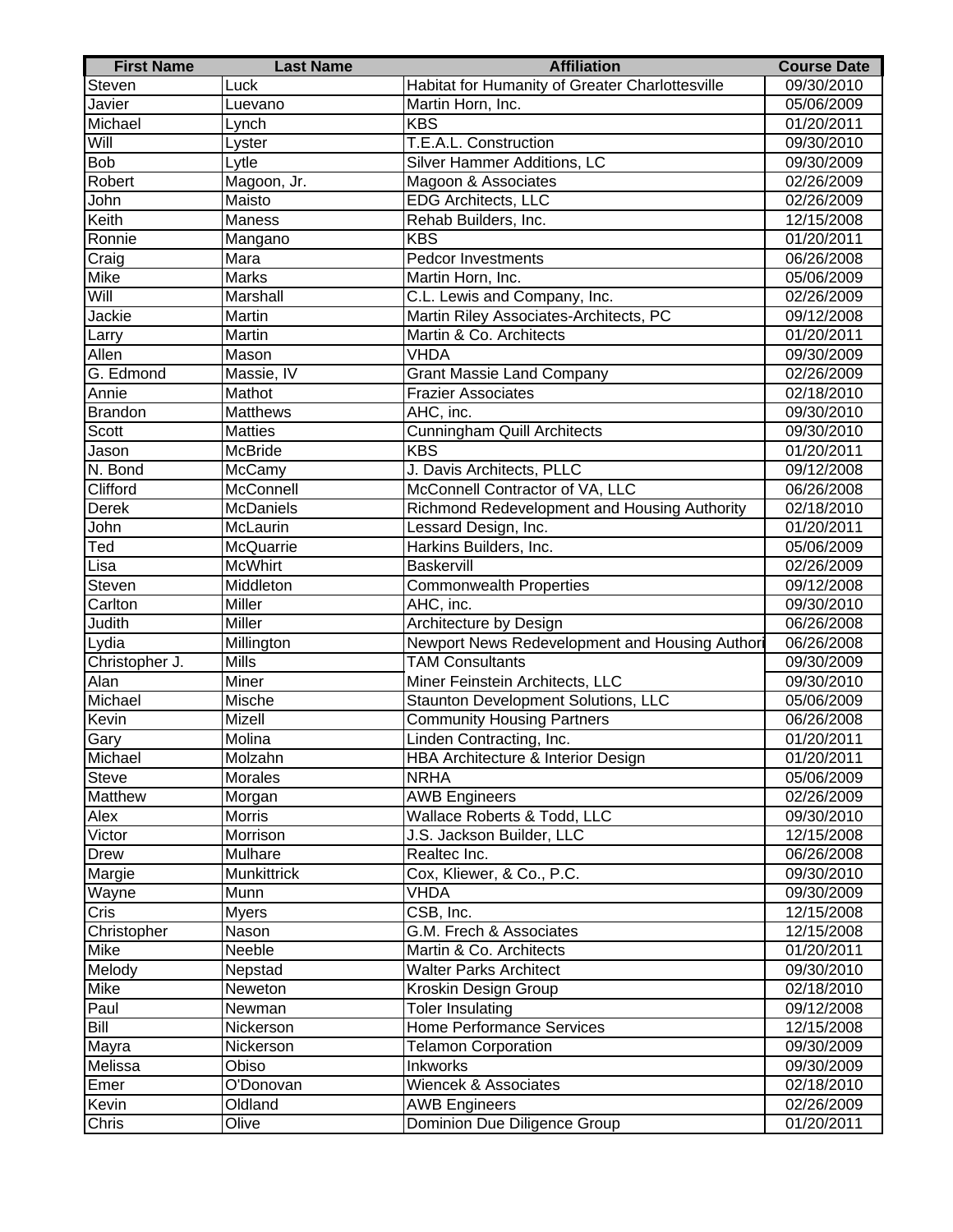| <b>First Name</b> | <b>Last Name</b>   | <b>Affiliation</b>                              | <b>Course Date</b> |
|-------------------|--------------------|-------------------------------------------------|--------------------|
| Steven            | Luck               | Habitat for Humanity of Greater Charlottesville | 09/30/2010         |
| Javier            | Luevano            | Martin Horn, Inc.                               | 05/06/2009         |
| Michael           | Lynch              | <b>KBS</b>                                      | 01/20/2011         |
| Will              | Lyster             | T.E.A.L. Construction                           | 09/30/2010         |
| <b>Bob</b>        | Lytle              | Silver Hammer Additions, LC                     | 09/30/2009         |
| Robert            | Magoon, Jr.        | Magoon & Associates                             | 02/26/2009         |
| John              | Maisto             | EDG Architects, LLC                             | 02/26/2009         |
| Keith             | Maness             | Rehab Builders, Inc.                            | 12/15/2008         |
| Ronnie            | Mangano            | <b>KBS</b>                                      | 01/20/2011         |
| Craig             | Mara               | <b>Pedcor Investments</b>                       | 06/26/2008         |
| Mike              | Marks              | Martin Horn, Inc.                               | 05/06/2009         |
| Will              | Marshall           | C.L. Lewis and Company, Inc.                    | 02/26/2009         |
| Jackie            | Martin             | Martin Riley Associates-Architects, PC          | 09/12/2008         |
| Larry             | Martin             | Martin & Co. Architects                         | 01/20/2011         |
| Allen             | Mason              | <b>VHDA</b>                                     | 09/30/2009         |
| G. Edmond         | Massie, IV         | Grant Massie Land Company                       | 02/26/2009         |
| Annie             | Mathot             | <b>Frazier Associates</b>                       | 02/18/2010         |
| Brandon           | <b>Matthews</b>    | AHC, inc.                                       | 09/30/2010         |
| Scott             | <b>Matties</b>     | <b>Cunningham Quill Architects</b>              | 09/30/2010         |
| Jason             | McBride            | <b>KBS</b>                                      | 01/20/2011         |
| N. Bond           | McCamy             | J. Davis Architects, PLLC                       | 09/12/2008         |
| Clifford          | McConnell          | McConnell Contractor of VA, LLC                 | 06/26/2008         |
| <b>Derek</b>      | <b>McDaniels</b>   | Richmond Redevelopment and Housing Authority    | 02/18/2010         |
| John              | McLaurin           | Lessard Design, Inc.                            | 01/20/2011         |
| Ted               | McQuarrie          | Harkins Builders, Inc.                          | 05/06/2009         |
| Lisa              | <b>McWhirt</b>     | Baskervill                                      | 02/26/2009         |
| Steven            | Middleton          | <b>Commonwealth Properties</b>                  | 09/12/2008         |
| Carlton           | <b>Miller</b>      | AHC, inc.                                       | 09/30/2010         |
| <b>Judith</b>     | <b>Miller</b>      | Architecture by Design                          | 06/26/2008         |
| Lydia             | Millington         | Newport News Redevelopment and Housing Authori  | 06/26/2008         |
| Christopher J.    | <b>Mills</b>       | <b>TAM Consultants</b>                          | 09/30/2009         |
| Alan              | Miner              | Miner Feinstein Architects, LLC                 | 09/30/2010         |
| Michael           | Mische             | Staunton Development Solutions, LLC             | 05/06/2009         |
| Kevin             | Mizell             | <b>Community Housing Partners</b>               | 06/26/2008         |
| Gary              | Molina             | Linden Contracting, Inc.                        | 01/20/2011         |
| Michael           | Molzahn            | HBA Architecture & Interior Design              | 01/20/2011         |
| <b>Steve</b>      | Morales            | <b>NRHA</b>                                     | 05/06/2009         |
| Matthew           | Morgan             | <b>AWB Engineers</b>                            | 02/26/2009         |
| Alex              | <b>Morris</b>      | Wallace Roberts & Todd, LLC                     | 09/30/2010         |
| Victor            | Morrison           | J.S. Jackson Builder, LLC                       | 12/15/2008         |
| Drew              | Mulhare            | Realtec Inc.                                    | 06/26/2008         |
| Margie            | <b>Munkittrick</b> | Cox, Kliewer, & Co., P.C.                       | 09/30/2010         |
| Wayne             | Munn               | VHDA                                            | 09/30/2009         |
| Cris              | <b>Myers</b>       | CSB, Inc.                                       | 12/15/2008         |
| Christopher       | Nason              | G.M. Frech & Associates                         | 12/15/2008         |
| Mike              | Neeble             | Martin & Co. Architects                         | 01/20/2011         |
| Melody            | Nepstad            | <b>Walter Parks Architect</b>                   | 09/30/2010         |
| Mike              | Neweton            | Kroskin Design Group                            | 02/18/2010         |
| Paul              | Newman             | Toler Insulating                                | 09/12/2008         |
| <b>Bill</b>       | Nickerson          | <b>Home Performance Services</b>                | 12/15/2008         |
| Mayra             | Nickerson          | <b>Telamon Corporation</b>                      | 09/30/2009         |
| Melissa           | Obiso              | Inkworks                                        | 09/30/2009         |
| Emer              | O'Donovan          | <b>Wiencek &amp; Associates</b>                 | 02/18/2010         |
| Kevin             | Oldland            | <b>AWB Engineers</b>                            | 02/26/2009         |
| Chris             | Olive              | Dominion Due Diligence Group                    | 01/20/2011         |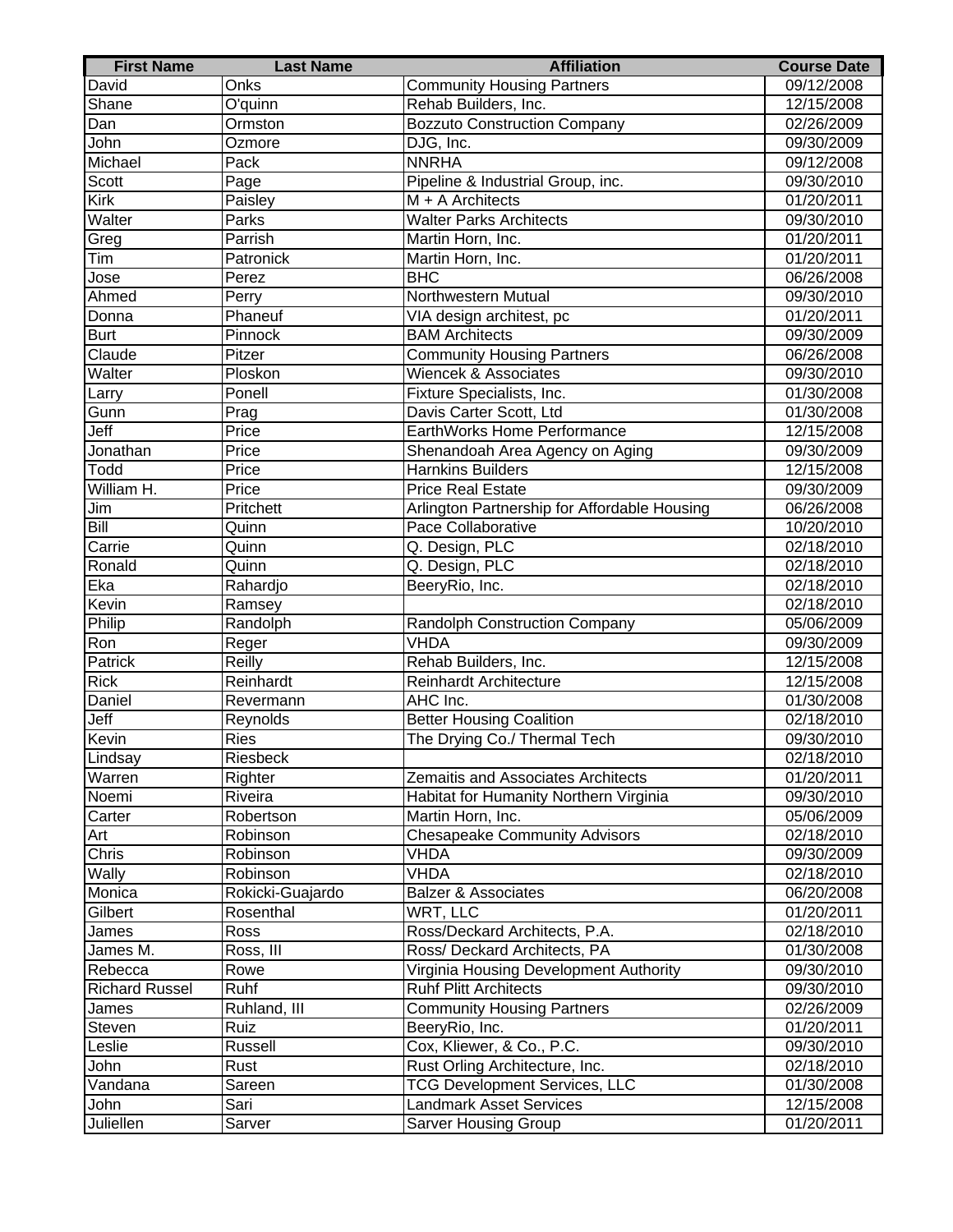| <b>First Name</b>     | <b>Last Name</b>              | <b>Affiliation</b>                                                     | <b>Course Date</b>       |
|-----------------------|-------------------------------|------------------------------------------------------------------------|--------------------------|
| David                 | Onks                          | <b>Community Housing Partners</b>                                      | 09/12/2008               |
| Shane                 | $\overline{O'$ quinn          | Rehab Builders, Inc.                                                   | 12/15/2008               |
| Dan                   | Ormston                       | <b>Bozzuto Construction Company</b>                                    | 02/26/2009               |
| John                  | Ozmore                        | DJG, Inc.                                                              | 09/30/2009               |
| Michael               | Pack                          | <b>NNRHA</b>                                                           | 09/12/2008               |
| Scott                 | Page                          | Pipeline & Industrial Group, inc.                                      | 09/30/2010               |
| <b>Kirk</b>           | Paisley                       | $M + A$ Architects                                                     | 01/20/2011               |
| Walter                | Parks                         | <b>Walter Parks Architects</b>                                         | 09/30/2010               |
| Greg                  | Parrish                       | Martin Horn, Inc.                                                      | 01/20/2011               |
| Tim                   | Patronick                     | Martin Horn, Inc.                                                      | 01/20/2011               |
| Jose                  | Perez                         | <b>BHC</b>                                                             | 06/26/2008               |
| Ahmed                 | Perry                         | Northwestern Mutual                                                    | 09/30/2010               |
| Donna                 | Phaneuf                       | VIA design architest, pc                                               | 01/20/2011               |
| Burt                  | Pinnock                       | <b>BAM Architects</b>                                                  | 09/30/2009               |
| Claude                | Pitzer                        | <b>Community Housing Partners</b>                                      | 06/26/2008               |
| Walter                | Ploskon                       | Wiencek & Associates                                                   | 09/30/2010               |
| Larry                 | Ponell                        | Fixture Specialists, Inc.                                              | 01/30/2008               |
| Gunn                  | Prag                          | Davis Carter Scott, Ltd                                                | 01/30/2008               |
| Jeff                  | Price                         | EarthWorks Home Performance                                            | 12/15/2008               |
| Jonathan              | Price                         | Shenandoah Area Agency on Aging                                        | 09/30/2009               |
| Todd                  | Price                         | <b>Harnkins Builders</b>                                               | 12/15/2008               |
| William H.            | Price                         | <b>Price Real Estate</b>                                               | 09/30/2009               |
| Jim                   | Pritchett                     | Arlington Partnership for Affordable Housing                           | 06/26/2008               |
| Bill                  | Quinn                         | Pace Collaborative                                                     | 10/20/2010               |
| Carrie                | Quinn                         |                                                                        | 02/18/2010               |
|                       | Quinn                         | Q. Design, PLC<br>Q. Design, PLC                                       | 02/18/2010               |
| Ronald                |                               |                                                                        |                          |
| Eka<br>Kevin          | Rahardjo                      | BeeryRio, Inc.                                                         | 02/18/2010<br>02/18/2010 |
| Philip                | Ramsey<br>Randolph            | Randolph Construction Company                                          | 05/06/2009               |
| Ron                   | Reger                         | VHDA                                                                   | 09/30/2009               |
| Patrick               | Reilly                        | Rehab Builders, Inc.                                                   | 12/15/2008               |
| <b>Rick</b>           | Reinhardt                     | <b>Reinhardt Architecture</b>                                          | 12/15/2008               |
| Daniel                | Revermann                     | AHC Inc.                                                               | 01/30/2008               |
|                       | Reynolds                      | <b>Better Housing Coalition</b>                                        |                          |
| Jeff<br>Kevin         |                               |                                                                        | 02/18/2010               |
|                       | Ries                          | The Drying Co./ Thermal Tech                                           | 09/30/2010               |
| Lindsay               | Riesbeck                      |                                                                        | 02/18/2010               |
| Warren                | Righter                       | Zemaitis and Associates Architects                                     | 01/20/2011               |
| Noemi<br>Carter       | Riveira                       | Habitat for Humanity Northern Virginia                                 | 09/30/2010               |
|                       | Robertson<br>Robinson         | Martin Horn, Inc.<br><b>Chesapeake Community Advisors</b>              | 05/06/2009<br>02/18/2010 |
| Art<br>Chris          | Robinson                      | <b>VHDA</b>                                                            | 09/30/2009               |
| Wally                 | Robinson                      | <b>VHDA</b>                                                            | 02/18/2010               |
| Monica                |                               | <b>Balzer &amp; Associates</b>                                         | 06/20/2008               |
| Gilbert               | Rokicki-Guajardo<br>Rosenthal | WRT, LLC                                                               | 01/20/2011               |
| James                 | Ross                          | Ross/Deckard Architects, P.A.                                          | 02/18/2010               |
| James M.              | Ross, III                     | Ross/ Deckard Architects, PA                                           | 01/30/2008               |
| Rebecca               | Rowe                          | Virginia Housing Development Authority                                 | 09/30/2010               |
| <b>Richard Russel</b> | Ruhf                          | <b>Ruhf Plitt Architects</b>                                           | 09/30/2010               |
|                       |                               |                                                                        |                          |
| James                 | Ruhland, III                  | <b>Community Housing Partners</b>                                      | 02/26/2009               |
| Steven                | Ruiz                          | BeeryRio, Inc.                                                         | 01/20/2011               |
| Leslie                | Russell                       | Cox, Kliewer, & Co., P.C.                                              | 09/30/2010               |
| John                  | Rust                          | Rust Orling Architecture, Inc.                                         | 02/18/2010               |
| Vandana               | Sareen                        | <b>TCG Development Services, LLC</b><br><b>Landmark Asset Services</b> | 01/30/2008               |
| John                  | Sari                          |                                                                        | 12/15/2008               |
| Juliellen             | Sarver                        | <b>Sarver Housing Group</b>                                            | 01/20/2011               |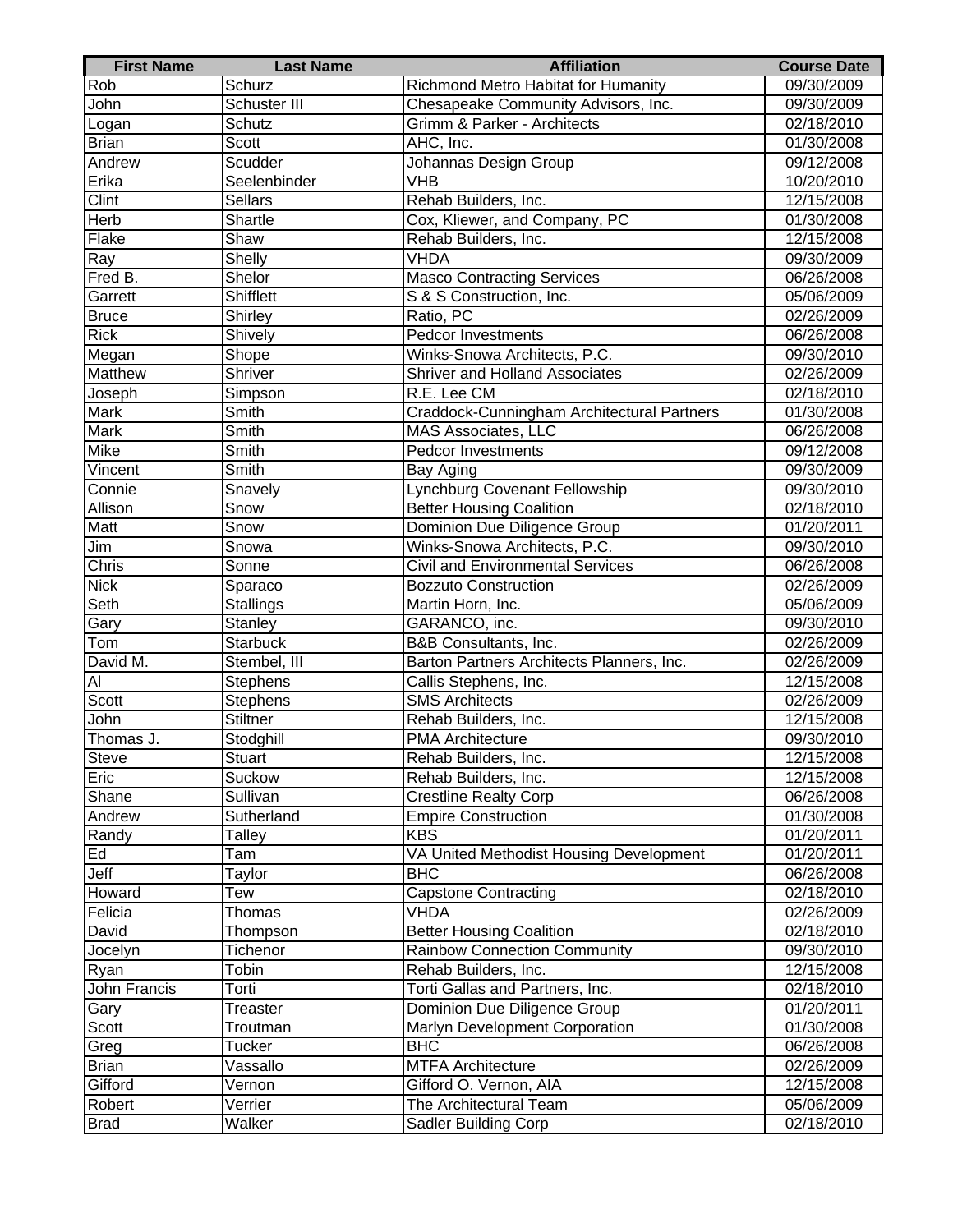| <b>First Name</b> | <b>Last Name</b> | <b>Affiliation</b>                         | <b>Course Date</b>      |
|-------------------|------------------|--------------------------------------------|-------------------------|
| Rob               | Schurz           | Richmond Metro Habitat for Humanity        | 09/30/2009              |
| John              | Schuster III     | Chesapeake Community Advisors, Inc.        | 09/30/2009              |
| Logan             | Schutz           | Grimm & Parker - Architects                | 02/18/2010              |
| <b>Brian</b>      | Scott            | AHC, Inc.                                  | 01/30/2008              |
| Andrew            | Scudder          | Johannas Design Group                      | 09/12/2008              |
| Erika             | Seelenbinder     | VHB                                        | 10/20/2010              |
| Clint             | Sellars          | Rehab Builders, Inc.                       | 12/15/2008              |
| Herb              | Shartle          | Cox, Kliewer, and Company, PC              | 01/30/2008              |
| Flake             | Shaw             | Rehab Builders, Inc.                       | 12/15/2008              |
| Ray               | Shelly           | <b>VHDA</b>                                | 09/30/2009              |
| Fred B.           | Shelor           | <b>Masco Contracting Services</b>          | 06/26/2008              |
| Garrett           | Shifflett        | S & S Construction, Inc.                   | 05/06/2009              |
| <b>Bruce</b>      | Shirley          | Ratio, PC                                  | 02/26/2009              |
| <b>Rick</b>       | Shively          | <b>Pedcor Investments</b>                  | 06/26/2008              |
| Megan             | Shope            | Winks-Snowa Architects, P.C.               | 09/30/2010              |
| <b>Matthew</b>    | Shriver          | <b>Shriver and Holland Associates</b>      | 02/26/2009              |
| Joseph            | Simpson          | R.E. Lee CM                                | 02/18/2010              |
| <b>Mark</b>       | Smith            | Craddock-Cunningham Architectural Partners | 01/30/2008              |
| <b>Mark</b>       | Smith            | <b>MAS Associates, LLC</b>                 | 06/26/2008              |
| Mike              | Smith            | <b>Pedcor Investments</b>                  | 09/12/2008              |
| Vincent           | Smith            | Bay Aging                                  | 09/30/2009              |
| Connie            | Snavely          | Lynchburg Covenant Fellowship              | 09/30/2010              |
| Allison           | Snow             | <b>Better Housing Coalition</b>            | 02/18/2010              |
| Matt              | Snow             | Dominion Due Diligence Group               | 01/20/2011              |
| Jim               | Snowa            | Winks-Snowa Architects, P.C.               | 09/30/2010              |
| Chris             | Sonne            | <b>Civil and Environmental Services</b>    | 06/26/2008              |
| <b>Nick</b>       | Sparaco          | <b>Bozzuto Construction</b>                | 02/26/2009              |
| Seth              | Stallings        | Martin Horn, Inc.                          | 05/06/2009              |
| Gary              | Stanley          | GARANCO, inc.                              | 09/30/2010              |
| Tom               | <b>Starbuck</b>  | <b>B&amp;B Consultants, Inc.</b>           | 02/26/2009              |
| David M.          | Stembel, III     | Barton Partners Architects Planners, Inc.  | 02/26/2009              |
| AI                | Stephens         | Callis Stephens, Inc.                      | 12/15/2008              |
| Scott             | Stephens         | <b>SMS Architects</b>                      | 02/26/2009              |
| John              | <b>Stiltner</b>  | Rehab Builders, Inc.                       | 12/15/2008              |
| Thomas J.         | Stodghill        | <b>PMA Architecture</b>                    | 09/30/2010              |
| Steve             | Stuart           | Rehab Builders, Inc.                       | 12/15/2008              |
| Eric              | Suckow           | Rehab Builders, Inc.                       | 12/15/2008              |
| Shane             | Sullivan         | Crestline Realty Corp                      | 06/26/2008              |
| Andrew            | Sutherland       | <b>Empire Construction</b>                 | 01/30/2008              |
| Randy             | Talley           | <b>KBS</b>                                 | 01/20/2011              |
| Ed                | Tam              | VA United Methodist Housing Development    | 01/20/2011              |
| Jeff              | Taylor           | <b>BHC</b>                                 | 06/26/2008              |
| Howard            | Tew              | <b>Capstone Contracting</b>                | $\overline{02/18/2010}$ |
| Felicia           | Thomas           | VHDA                                       | 02/26/2009              |
| David             | Thompson         | <b>Better Housing Coalition</b>            | 02/18/2010              |
| Jocelyn           | Tichenor         | <b>Rainbow Connection Community</b>        | 09/30/2010              |
| Ryan              | Tobin            | Rehab Builders, Inc.                       | 12/15/2008              |
| John Francis      | Torti            | Torti Gallas and Partners, Inc.            | 02/18/2010              |
| Gary              | Treaster         | Dominion Due Diligence Group               | 01/20/2011              |
| Scott             | Troutman         | Marlyn Development Corporation             | 01/30/2008              |
| Greg              | Tucker           | <b>BHC</b>                                 | 06/26/2008              |
| <b>Brian</b>      | Vassallo         | <b>MTFA Architecture</b>                   | 02/26/2009              |
| Gifford           | Vernon           | Gifford O. Vernon, AIA                     | 12/15/2008              |
| Robert            | Verrier          | The Architectural Team                     | 05/06/2009              |
| <b>Brad</b>       | Walker           | Sadler Building Corp                       | 02/18/2010              |